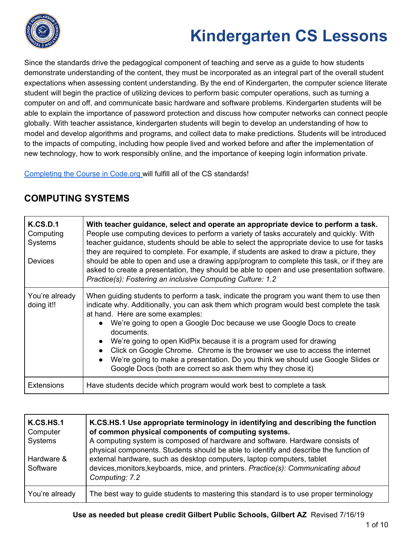

Since the standards drive the pedagogical component of teaching and serve as a guide to how students demonstrate understanding of the content, they must be incorporated as an integral part of the overall student expectations when assessing content understanding. By the end of Kindergarten, the computer science literate student will begin the practice of utilizing devices to perform basic computer operations, such as turning a computer on and off, and communicate basic hardware and software problems. Kindergarten students will be able to explain the importance of password protection and discuss how computer networks can connect people globally. With teacher assistance, kindergarten students will begin to develop an understanding of how to model and develop algorithms and programs, and collect data to make predictions. Students will be introduced to the impacts of computing, including how people lived and worked before and after the implementation of new technology, how to work responsibly online, and the importance of keeping login information private.

[Completing](https://code.org/educate/curriculum/elementary-school) the Course in Code.org will fulfill all of the CS standards!

| K.CS.D.1<br>Computing<br><b>Systems</b><br><b>Devices</b> | With teacher guidance, select and operate an appropriate device to perform a task.<br>People use computing devices to perform a variety of tasks accurately and quickly. With<br>teacher guidance, students should be able to select the appropriate device to use for tasks<br>they are required to complete. For example, if students are asked to draw a picture, they<br>should be able to open and use a drawing app/program to complete this task, or if they are<br>asked to create a presentation, they should be able to open and use presentation software.<br>Practice(s): Fostering an inclusive Computing Culture: 1.2 |
|-----------------------------------------------------------|-------------------------------------------------------------------------------------------------------------------------------------------------------------------------------------------------------------------------------------------------------------------------------------------------------------------------------------------------------------------------------------------------------------------------------------------------------------------------------------------------------------------------------------------------------------------------------------------------------------------------------------|
| You're already<br>doing it!!                              | When guiding students to perform a task, indicate the program you want them to use then<br>indicate why. Additionally, you can ask them which program would best complete the task<br>at hand. Here are some examples:<br>• We're going to open a Google Doc because we use Google Docs to create<br>documents.<br>We're going to open KidPix because it is a program used for drawing<br>Click on Google Chrome. Chrome is the browser we use to access the internet<br>We're going to make a presentation. Do you think we should use Google Slides or<br>Google Docs (both are correct so ask them why they chose it)            |
| <b>Extensions</b>                                         | Have students decide which program would work best to complete a task                                                                                                                                                                                                                                                                                                                                                                                                                                                                                                                                                               |

### **COMPUTING SYSTEMS**

| K.CS.HS.1<br>Computer<br>Systems<br>Hardware &<br>Software | K.CS.HS.1 Use appropriate terminology in identifying and describing the function<br>of common physical components of computing systems.<br>A computing system is composed of hardware and software. Hardware consists of<br>physical components. Students should be able to identify and describe the function of<br>external hardware, such as desktop computers, laptop computers, tablet<br>devices, monitors, keyboards, mice, and printers. Practice(s): Communicating about<br>Computing: 7.2 |
|------------------------------------------------------------|-----------------------------------------------------------------------------------------------------------------------------------------------------------------------------------------------------------------------------------------------------------------------------------------------------------------------------------------------------------------------------------------------------------------------------------------------------------------------------------------------------|
|                                                            |                                                                                                                                                                                                                                                                                                                                                                                                                                                                                                     |
| You're already                                             | The best way to guide students to mastering this standard is to use proper terminology                                                                                                                                                                                                                                                                                                                                                                                                              |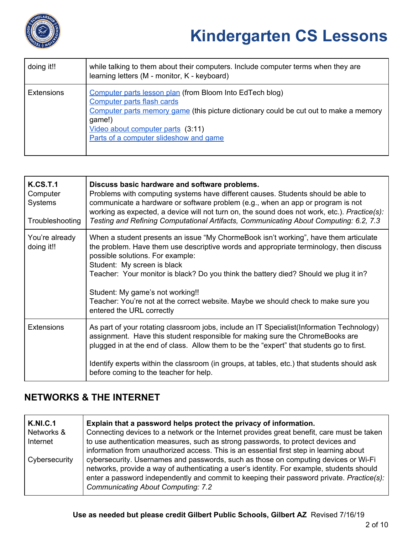

| doing it!!        | while talking to them about their computers. Include computer terms when they are<br>learning letters (M - monitor, K - keyboard)                                                                                                                                        |
|-------------------|--------------------------------------------------------------------------------------------------------------------------------------------------------------------------------------------------------------------------------------------------------------------------|
| <b>Extensions</b> | Computer parts lesson plan (from Bloom Into EdTech blog)<br>Computer parts flash cards<br>Computer parts memory game (this picture dictionary could be cut out to make a memory<br>game!)<br>Video about computer parts (3:11)<br>Parts of a computer slideshow and game |

| K.CS.T.1<br>Computer<br><b>Systems</b><br>Troubleshooting | Discuss basic hardware and software problems.<br>Problems with computing systems have different causes. Students should be able to<br>communicate a hardware or software problem (e.g., when an app or program is not<br>working as expected, a device will not turn on, the sound does not work, etc.). Practice(s):<br>Testing and Refining Computational Artifacts, Communicating About Computing: 6.2, 7.3                                                                                   |
|-----------------------------------------------------------|--------------------------------------------------------------------------------------------------------------------------------------------------------------------------------------------------------------------------------------------------------------------------------------------------------------------------------------------------------------------------------------------------------------------------------------------------------------------------------------------------|
| You're already<br>doing it!!                              | When a student presents an issue "My ChormeBook isn't working", have them articulate<br>the problem. Have them use descriptive words and appropriate terminology, then discuss<br>possible solutions. For example:<br>Student: My screen is black<br>Teacher: Your monitor is black? Do you think the battery died? Should we plug it in?<br>Student: My game's not working!!<br>Teacher: You're not at the correct website. Maybe we should check to make sure you<br>entered the URL correctly |
| <b>Extensions</b>                                         | As part of your rotating classroom jobs, include an IT Specialist (Information Technology)<br>assignment. Have this student responsible for making sure the ChromeBooks are<br>plugged in at the end of class. Allow them to be the "expert" that students go to first.<br>Identify experts within the classroom (in groups, at tables, etc.) that students should ask<br>before coming to the teacher for help.                                                                                 |

### **NETWORKS & THE INTERNET**

| <b>K.NI.C.1</b> | Explain that a password helps protect the privacy of information.                                                                                                                                                                                                                                                                                                                                                     |
|-----------------|-----------------------------------------------------------------------------------------------------------------------------------------------------------------------------------------------------------------------------------------------------------------------------------------------------------------------------------------------------------------------------------------------------------------------|
| Networks &      | Connecting devices to a network or the Internet provides great benefit, care must be taken                                                                                                                                                                                                                                                                                                                            |
| Internet        | to use authentication measures, such as strong passwords, to protect devices and                                                                                                                                                                                                                                                                                                                                      |
| Cybersecurity   | information from unauthorized access. This is an essential first step in learning about<br>cybersecurity. Usernames and passwords, such as those on computing devices or Wi-Fi<br>networks, provide a way of authenticating a user's identity. For example, students should<br>enter a password independently and commit to keeping their password private. Practice(s):<br><b>Communicating About Computing: 7.2</b> |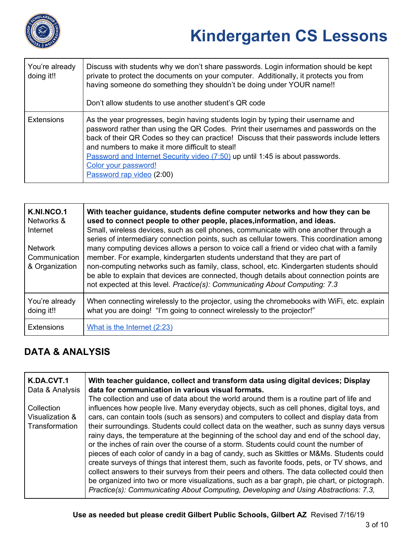

| You're already<br>doing it!! | Discuss with students why we don't share passwords. Login information should be kept<br>private to protect the documents on your computer. Additionally, it protects you from<br>having someone do something they shouldn't be doing under YOUR name!!<br>Don't allow students to use another student's QR code                                                                                                                                               |
|------------------------------|---------------------------------------------------------------------------------------------------------------------------------------------------------------------------------------------------------------------------------------------------------------------------------------------------------------------------------------------------------------------------------------------------------------------------------------------------------------|
| <b>Extensions</b>            | As the year progresses, begin having students login by typing their username and<br>password rather than using the QR Codes. Print their usernames and passwords on the<br>back of their QR Codes so they can practice! Discuss that their passwords include letters<br>and numbers to make it more difficult to steal!<br>Password and Internet Security video (7:50) up until 1:45 is about passwords.<br>Color your password!<br>Password rap video (2:00) |

| <b>K.NI.NCO.1</b><br>Networks &<br>Internet<br><b>Network</b><br>Communication<br>& Organization | With teacher guidance, students define computer networks and how they can be<br>used to connect people to other people, places, information, and ideas.<br>Small, wireless devices, such as cell phones, communicate with one another through a<br>series of intermediary connection points, such as cellular towers. This coordination among<br>many computing devices allows a person to voice call a friend or video chat with a family<br>member. For example, kindergarten students understand that they are part of<br>non-computing networks such as family, class, school, etc. Kindergarten students should<br>be able to explain that devices are connected, though details about connection points are<br>not expected at this level. Practice(s): Communicating About Computing: 7.3 |
|--------------------------------------------------------------------------------------------------|--------------------------------------------------------------------------------------------------------------------------------------------------------------------------------------------------------------------------------------------------------------------------------------------------------------------------------------------------------------------------------------------------------------------------------------------------------------------------------------------------------------------------------------------------------------------------------------------------------------------------------------------------------------------------------------------------------------------------------------------------------------------------------------------------|
| You're already<br>doing it!!                                                                     | When connecting wirelessly to the projector, using the chromebooks with WiFi, etc. explain<br>what you are doing! "I'm going to connect wirelessly to the projector!"                                                                                                                                                                                                                                                                                                                                                                                                                                                                                                                                                                                                                            |
| <b>Extensions</b>                                                                                | What is the Internet (2:23)                                                                                                                                                                                                                                                                                                                                                                                                                                                                                                                                                                                                                                                                                                                                                                      |

### **DATA & ANALYSIS**

| K.DA.CVT.1<br>Data & Analysis | With teacher guidance, collect and transform data using digital devices; Display<br>data for communication in various visual formats. |
|-------------------------------|---------------------------------------------------------------------------------------------------------------------------------------|
|                               | The collection and use of data about the world around them is a routine part of life and                                              |
| <b>Collection</b>             | influences how people live. Many everyday objects, such as cell phones, digital toys, and                                             |
| Visualization &               | cars, can contain tools (such as sensors) and computers to collect and display data from                                              |
| Transformation                | their surroundings. Students could collect data on the weather, such as sunny days versus                                             |
|                               | rainy days, the temperature at the beginning of the school day and end of the school day,                                             |
|                               | or the inches of rain over the course of a storm. Students could count the number of                                                  |
|                               | pieces of each color of candy in a bag of candy, such as Skittles or M&Ms. Students could                                             |
|                               | create surveys of things that interest them, such as favorite foods, pets, or TV shows, and                                           |
|                               | collect answers to their surveys from their peers and others. The data collected could then                                           |
|                               | be organized into two or more visualizations, such as a bar graph, pie chart, or pictograph.                                          |
|                               | Practice(s): Communicating About Computing, Developing and Using Abstractions: 7.3,                                                   |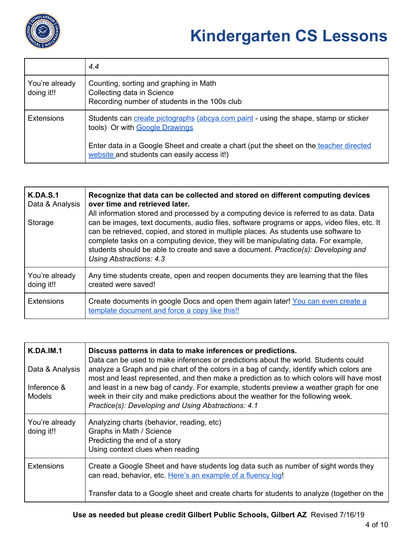

|                              | 4.4                                                                                                                                   |
|------------------------------|---------------------------------------------------------------------------------------------------------------------------------------|
| You're already<br>doing it!! | Counting, sorting and graphing in Math<br>Collecting data in Science<br>Recording number of students in the 100s club                 |
| <b>Extensions</b>            | Students can create pictographs (abcya.com paint - using the shape, stamp or sticker<br>tools) Or with Google Drawings                |
|                              | Enter data in a Google Sheet and create a chart (put the sheet on the teacher directed<br>website and students can easily access it!) |

| <b>K.DA.S.1</b><br>Data & Analysis<br>Storage | Recognize that data can be collected and stored on different computing devices<br>over time and retrieved later.<br>All information stored and processed by a computing device is referred to as data. Data<br>can be images, text documents, audio files, software programs or apps, video files, etc. It<br>can be retrieved, copied, and stored in multiple places. As students use software to<br>complete tasks on a computing device, they will be manipulating data. For example,<br>students should be able to create and save a document. Practice(s): Developing and<br>Using Abstractions: 4.3 |
|-----------------------------------------------|-----------------------------------------------------------------------------------------------------------------------------------------------------------------------------------------------------------------------------------------------------------------------------------------------------------------------------------------------------------------------------------------------------------------------------------------------------------------------------------------------------------------------------------------------------------------------------------------------------------|
| You're already<br>doing it!!                  | Any time students create, open and reopen documents they are learning that the files<br>created were saved!                                                                                                                                                                                                                                                                                                                                                                                                                                                                                               |
| <b>Extensions</b>                             | Create documents in google Docs and open them again later! You can even create a<br>template document and force a copy like this!!                                                                                                                                                                                                                                                                                                                                                                                                                                                                        |

| <b>K.DA.IM.1</b><br>Data & Analysis<br>Inference &<br><b>Models</b> | Discuss patterns in data to make inferences or predictions.<br>Data can be used to make inferences or predictions about the world. Students could<br>analyze a Graph and pie chart of the colors in a bag of candy, identify which colors are<br>most and least represented, and then make a prediction as to which colors will have most<br>and least in a new bag of candy. For example, students preview a weather graph for one<br>week in their city and make predictions about the weather for the following week.<br>Practice(s): Developing and Using Abstractions: 4.1 |
|---------------------------------------------------------------------|---------------------------------------------------------------------------------------------------------------------------------------------------------------------------------------------------------------------------------------------------------------------------------------------------------------------------------------------------------------------------------------------------------------------------------------------------------------------------------------------------------------------------------------------------------------------------------|
| You're already<br>doing it!!                                        | Analyzing charts (behavior, reading, etc)<br>Graphs in Math / Science<br>Predicting the end of a story<br>Using context clues when reading                                                                                                                                                                                                                                                                                                                                                                                                                                      |
| <b>Extensions</b>                                                   | Create a Google Sheet and have students log data such as number of sight words they<br>can read, behavior, etc. Here's an example of a fluency log!<br>Transfer data to a Google sheet and create charts for students to analyze (together on the                                                                                                                                                                                                                                                                                                                               |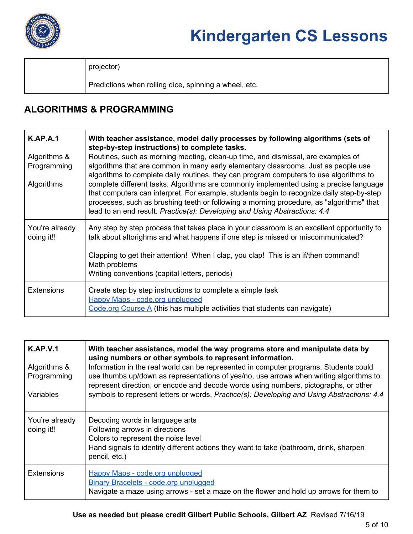

projector)

Predictions when rolling dice, spinning a wheel, etc.

### **ALGORITHMS & PROGRAMMING**

| <b>K.AP.A.1</b>              | With teacher assistance, model daily processes by following algorithms (sets of<br>step-by-step instructions) to complete tasks.                                                                                                                                                                                                                              |
|------------------------------|---------------------------------------------------------------------------------------------------------------------------------------------------------------------------------------------------------------------------------------------------------------------------------------------------------------------------------------------------------------|
| Algorithms &                 | Routines, such as morning meeting, clean-up time, and dismissal, are examples of                                                                                                                                                                                                                                                                              |
| Programming                  | algorithms that are common in many early elementary classrooms. Just as people use<br>algorithms to complete daily routines, they can program computers to use algorithms to                                                                                                                                                                                  |
| <b>Algorithms</b>            | complete different tasks. Algorithms are commonly implemented using a precise language<br>that computers can interpret. For example, students begin to recognize daily step-by-step<br>processes, such as brushing teeth or following a morning procedure, as "algorithms" that<br>lead to an end result. Practice(s): Developing and Using Abstractions: 4.4 |
| You're already<br>doing it!! | Any step by step process that takes place in your classroom is an excellent opportunity to<br>talk about altorighms and what happens if one step is missed or miscommunicated?                                                                                                                                                                                |
|                              | Clapping to get their attention! When I clap, you clap! This is an if/then command!<br>Math problems<br>Writing conventions (capital letters, periods)                                                                                                                                                                                                        |
|                              |                                                                                                                                                                                                                                                                                                                                                               |
| <b>Extensions</b>            | Create step by step instructions to complete a simple task<br><b>Happy Maps - code.org unplugged</b>                                                                                                                                                                                                                                                          |
|                              | Code.org Course $\overline{A}$ (this has multiple activities that students can navigate)                                                                                                                                                                                                                                                                      |

| <b>K.AP.V.1</b><br>Algorithms &<br>Programming<br>Variables | With teacher assistance, model the way programs store and manipulate data by<br>using numbers or other symbols to represent information.<br>Information in the real world can be represented in computer programs. Students could<br>use thumbs up/down as representations of yes/no, use arrows when writing algorithms to<br>represent direction, or encode and decode words using numbers, pictographs, or other<br>symbols to represent letters or words. Practice(s): Developing and Using Abstractions: 4.4 |
|-------------------------------------------------------------|-------------------------------------------------------------------------------------------------------------------------------------------------------------------------------------------------------------------------------------------------------------------------------------------------------------------------------------------------------------------------------------------------------------------------------------------------------------------------------------------------------------------|
| You're already<br>doing it!!                                | Decoding words in language arts<br>Following arrows in directions<br>Colors to represent the noise level<br>Hand signals to identify different actions they want to take (bathroom, drink, sharpen<br>pencil, etc.)                                                                                                                                                                                                                                                                                               |
| <b>Extensions</b>                                           | <b>Happy Maps - code.org unplugged</b><br>Binary Bracelets - code.org unplugged<br>Navigate a maze using arrows - set a maze on the flower and hold up arrows for them to                                                                                                                                                                                                                                                                                                                                         |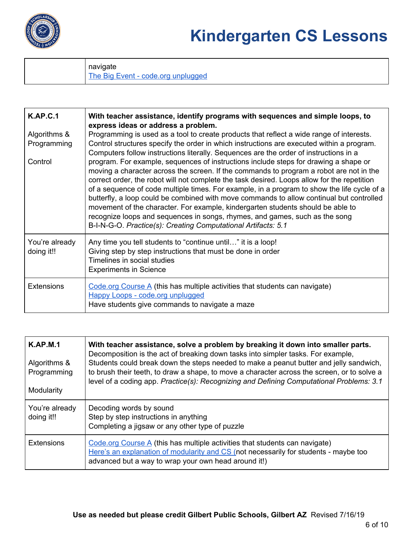

navigate The Big Event - code.org [unplugged](https://studio.code.org/s/coursea-2018/stage/13/puzzle/1)

| <b>K.AP.C.1</b><br>Algorithms &<br>Programming<br>Control | With teacher assistance, identify programs with sequences and simple loops, to<br>express ideas or address a problem.<br>Programming is used as a tool to create products that reflect a wide range of interests.<br>Control structures specify the order in which instructions are executed within a program.<br>Computers follow instructions literally. Sequences are the order of instructions in a<br>program. For example, sequences of instructions include steps for drawing a shape or<br>moving a character across the screen. If the commands to program a robot are not in the<br>correct order, the robot will not complete the task desired. Loops allow for the repetition<br>of a sequence of code multiple times. For example, in a program to show the life cycle of a<br>butterfly, a loop could be combined with move commands to allow continual but controlled<br>movement of the character. For example, kindergarten students should be able to<br>recognize loops and sequences in songs, rhymes, and games, such as the song<br>B-I-N-G-O. Practice(s): Creating Computational Artifacts: 5.1 |
|-----------------------------------------------------------|-------------------------------------------------------------------------------------------------------------------------------------------------------------------------------------------------------------------------------------------------------------------------------------------------------------------------------------------------------------------------------------------------------------------------------------------------------------------------------------------------------------------------------------------------------------------------------------------------------------------------------------------------------------------------------------------------------------------------------------------------------------------------------------------------------------------------------------------------------------------------------------------------------------------------------------------------------------------------------------------------------------------------------------------------------------------------------------------------------------------------|
| You're already<br>doing it!!                              | Any time you tell students to "continue until" it is a loop!<br>Giving step by step instructions that must be done in order<br>Timelines in social studies<br><b>Experiments in Science</b>                                                                                                                                                                                                                                                                                                                                                                                                                                                                                                                                                                                                                                                                                                                                                                                                                                                                                                                             |
| <b>Extensions</b>                                         | Code.org Course $\overline{A}$ (this has multiple activities that students can navigate)<br><b>Happy Loops - code.org unplugged</b><br>Have students give commands to navigate a maze                                                                                                                                                                                                                                                                                                                                                                                                                                                                                                                                                                                                                                                                                                                                                                                                                                                                                                                                   |

| <b>K.AP.M.1</b><br>Algorithms &<br>Programming<br>Modularity | With teacher assistance, solve a problem by breaking it down into smaller parts.<br>Decomposition is the act of breaking down tasks into simpler tasks. For example,<br>Students could break down the steps needed to make a peanut butter and jelly sandwich,<br>to brush their teeth, to draw a shape, to move a character across the screen, or to solve a<br>level of a coding app. Practice(s): Recognizing and Defining Computational Problems: 3.1 |
|--------------------------------------------------------------|-----------------------------------------------------------------------------------------------------------------------------------------------------------------------------------------------------------------------------------------------------------------------------------------------------------------------------------------------------------------------------------------------------------------------------------------------------------|
| You're already<br>doing it!!                                 | Decoding words by sound<br>Step by step instructions in anything<br>Completing a jigsaw or any other type of puzzle                                                                                                                                                                                                                                                                                                                                       |
| <b>Extensions</b>                                            | Code.org Course $\overline{A}$ (this has multiple activities that students can navigate)<br>Here's an explanation of modularity and CS (not necessarily for students - maybe too<br>advanced but a way to wrap your own head around it!)                                                                                                                                                                                                                  |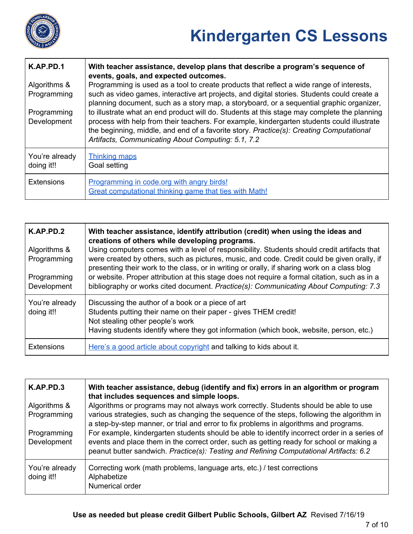

| K.AP.PD.1                    | With teacher assistance, develop plans that describe a program's sequence of<br>events, goals, and expected outcomes.                                                                                                                                                                                                                      |
|------------------------------|--------------------------------------------------------------------------------------------------------------------------------------------------------------------------------------------------------------------------------------------------------------------------------------------------------------------------------------------|
| Algorithms &<br>Programming  | Programming is used as a tool to create products that reflect a wide range of interests,<br>such as video games, interactive art projects, and digital stories. Students could create a<br>planning document, such as a story map, a storyboard, or a sequential graphic organizer,                                                        |
| Programming<br>Development   | to illustrate what an end product will do. Students at this stage may complete the planning<br>process with help from their teachers. For example, kindergarten students could illustrate<br>the beginning, middle, and end of a favorite story. Practice(s): Creating Computational<br>Artifacts, Communicating About Computing: 5.1, 7.2 |
| You're already<br>doing it!! | Thinking maps<br>Goal setting                                                                                                                                                                                                                                                                                                              |
| <b>Extensions</b>            | Programming in code.org with angry birds!<br>Great computational thinking game that ties with Math!                                                                                                                                                                                                                                        |

| K.AP.PD.2<br>Algorithms &<br>Programming<br>Programming<br>Development | With teacher assistance, identify attribution (credit) when using the ideas and<br>creations of others while developing programs.<br>Using computers comes with a level of responsibility. Students should credit artifacts that<br>were created by others, such as pictures, music, and code. Credit could be given orally, if<br>presenting their work to the class, or in writing or orally, if sharing work on a class blog<br>or website. Proper attribution at this stage does not require a formal citation, such as in a<br>bibliography or works cited document. Practice(s): Communicating About Computing: 7.3 |
|------------------------------------------------------------------------|---------------------------------------------------------------------------------------------------------------------------------------------------------------------------------------------------------------------------------------------------------------------------------------------------------------------------------------------------------------------------------------------------------------------------------------------------------------------------------------------------------------------------------------------------------------------------------------------------------------------------|
| You're already<br>doing it!!                                           | Discussing the author of a book or a piece of art<br>Students putting their name on their paper - gives THEM credit!<br>Not stealing other people's work<br>Having students identify where they got information (which book, website, person, etc.)                                                                                                                                                                                                                                                                                                                                                                       |
| <b>Extensions</b>                                                      | Here's a good article about copyright and talking to kids about it.                                                                                                                                                                                                                                                                                                                                                                                                                                                                                                                                                       |

| K.AP.PD.3                    | With teacher assistance, debug (identify and fix) errors in an algorithm or program<br>that includes sequences and simple loops.                                                                                                                                                   |
|------------------------------|------------------------------------------------------------------------------------------------------------------------------------------------------------------------------------------------------------------------------------------------------------------------------------|
| Algorithms &<br>Programming  | Algorithms or programs may not always work correctly. Students should be able to use<br>various strategies, such as changing the sequence of the steps, following the algorithm in<br>a step-by-step manner, or trial and error to fix problems in algorithms and programs.        |
| Programming<br>Development   | For example, kindergarten students should be able to identify incorrect order in a series of<br>events and place them in the correct order, such as getting ready for school or making a<br>peanut butter sandwich. Practice(s): Testing and Refining Computational Artifacts: 6.2 |
| You're already<br>doing it!! | Correcting work (math problems, language arts, etc.) / test corrections<br>Alphabetize<br>Numerical order                                                                                                                                                                          |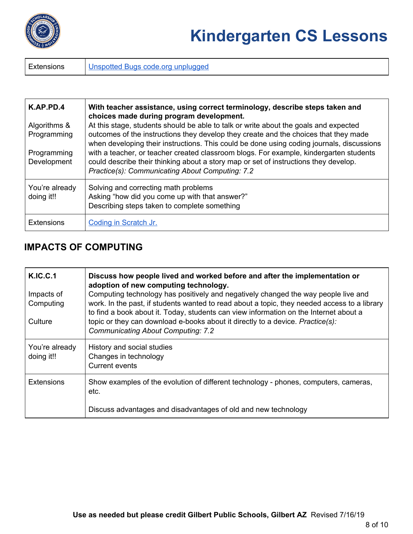

Extensions | Unspotted Bugs code.org [unplugged](https://studio.code.org/s/coursea-2018/stage/1/puzzle/1)

| K.AP.PD.4<br>Algorithms &<br>Programming<br>Programming<br>Development | With teacher assistance, using correct terminology, describe steps taken and<br>choices made during program development.<br>At this stage, students should be able to talk or write about the goals and expected<br>outcomes of the instructions they develop they create and the choices that they made<br>when developing their instructions. This could be done using coding journals, discussions<br>with a teacher, or teacher created classroom blogs. For example, kindergarten students<br>could describe their thinking about a story map or set of instructions they develop.<br>Practice(s): Communicating About Computing: 7.2 |
|------------------------------------------------------------------------|--------------------------------------------------------------------------------------------------------------------------------------------------------------------------------------------------------------------------------------------------------------------------------------------------------------------------------------------------------------------------------------------------------------------------------------------------------------------------------------------------------------------------------------------------------------------------------------------------------------------------------------------|
| You're already<br>doing it!!                                           | Solving and correcting math problems<br>Asking "how did you come up with that answer?"<br>Describing steps taken to complete something                                                                                                                                                                                                                                                                                                                                                                                                                                                                                                     |
| <b>Extensions</b>                                                      | Coding in Scratch Jr.                                                                                                                                                                                                                                                                                                                                                                                                                                                                                                                                                                                                                      |

### **IMPACTS OF COMPUTING**

| K.IC.C.1                     | Discuss how people lived and worked before and after the implementation or<br>adoption of new computing technology.                                                                                                                                                         |
|------------------------------|-----------------------------------------------------------------------------------------------------------------------------------------------------------------------------------------------------------------------------------------------------------------------------|
| Impacts of<br>Computing      | Computing technology has positively and negatively changed the way people live and<br>work. In the past, if students wanted to read about a topic, they needed access to a library<br>to find a book about it. Today, students can view information on the Internet about a |
| Culture                      | topic or they can download e-books about it directly to a device. Practice(s):<br><b>Communicating About Computing: 7.2</b>                                                                                                                                                 |
| You're already<br>doing it!! | History and social studies<br>Changes in technology<br><b>Current events</b>                                                                                                                                                                                                |
| <b>Extensions</b>            | Show examples of the evolution of different technology - phones, computers, cameras,<br>etc.                                                                                                                                                                                |
|                              | Discuss advantages and disadvantages of old and new technology                                                                                                                                                                                                              |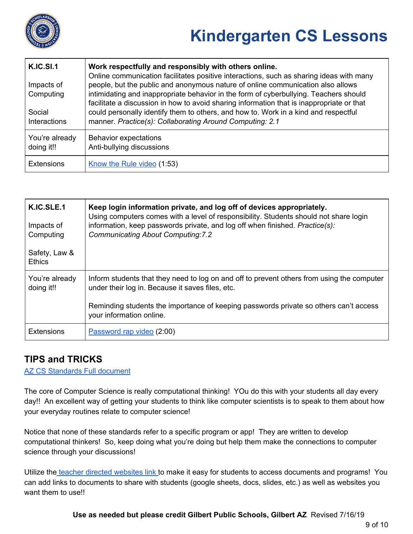

| <b>K.IC.SI.1</b><br>Impacts of<br>Computing<br>Social<br><b>Interactions</b> | Work respectfully and responsibly with others online.<br>Online communication facilitates positive interactions, such as sharing ideas with many<br>people, but the public and anonymous nature of online communication also allows<br>intimidating and inappropriate behavior in the form of cyberbullying. Teachers should<br>facilitate a discussion in how to avoid sharing information that is inappropriate or that<br>could personally identify them to others, and how to. Work in a kind and respectful<br>manner. Practice(s): Collaborating Around Computing: 2.1 |
|------------------------------------------------------------------------------|------------------------------------------------------------------------------------------------------------------------------------------------------------------------------------------------------------------------------------------------------------------------------------------------------------------------------------------------------------------------------------------------------------------------------------------------------------------------------------------------------------------------------------------------------------------------------|
| You're already<br>doing it!!                                                 | Behavior expectations<br>Anti-bullying discussions                                                                                                                                                                                                                                                                                                                                                                                                                                                                                                                           |
| <b>Extensions</b>                                                            | Know the Rule video (1:53)                                                                                                                                                                                                                                                                                                                                                                                                                                                                                                                                                   |

| K.IC.SLE.1<br>Impacts of<br>Computing<br>Safety, Law &<br><b>Ethics</b> | Keep login information private, and log off of devices appropriately.<br>Using computers comes with a level of responsibility. Students should not share login<br>information, keep passwords private, and log off when finished. Practice(s):<br><b>Communicating About Computing:7.2</b> |
|-------------------------------------------------------------------------|--------------------------------------------------------------------------------------------------------------------------------------------------------------------------------------------------------------------------------------------------------------------------------------------|
| You're already<br>doing it!!                                            | Inform students that they need to log on and off to prevent others from using the computer<br>under their log in. Because it saves files, etc.<br>Reminding students the importance of keeping passwords private so others can't access<br>your information online.                        |
| <b>Extensions</b>                                                       | Password rap video (2:00)                                                                                                                                                                                                                                                                  |

#### **TIPS and TRICKS**

AZ CS [Standards](https://cms.azed.gov/home/GetDocumentFile?id=5bd8a46a1dcb250944216fea) Full document

The core of Computer Science is really computational thinking! YOu do this with your students all day every day!! An excellent way of getting your students to think like computer scientists is to speak to them about how your everyday routines relate to computer science!

Notice that none of these standards refer to a specific program or app! They are written to develop computational thinkers! So, keep doing what you're doing but help them make the connections to computer science through your discussions!

Utilize the teacher directed [websites](https://sites.google.com/a/gilbertschools.net/teacher-directed-weblinks-for-students/) link to make it easy for students to access documents and programs! You can add links to documents to share with students (google sheets, docs, slides, etc.) as well as websites you want them to use!!